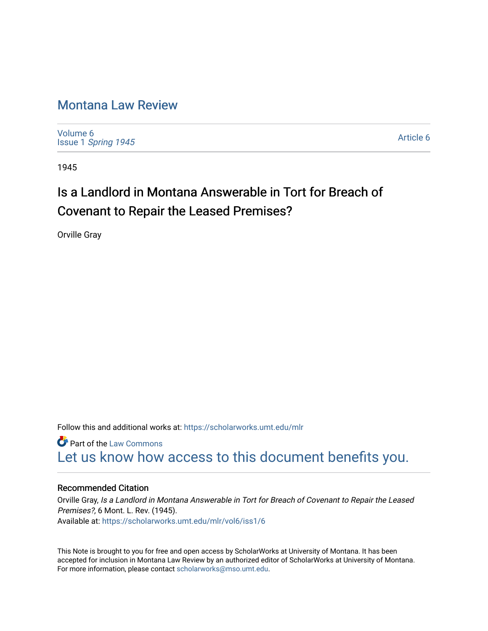## [Montana Law Review](https://scholarworks.umt.edu/mlr)

[Volume 6](https://scholarworks.umt.edu/mlr/vol6) Issue 1 [Spring 1945](https://scholarworks.umt.edu/mlr/vol6/iss1) 

[Article 6](https://scholarworks.umt.edu/mlr/vol6/iss1/6) 

1945

# Is a Landlord in Montana Answerable in Tort for Breach of Covenant to Repair the Leased Premises?

Orville Gray

Follow this and additional works at: [https://scholarworks.umt.edu/mlr](https://scholarworks.umt.edu/mlr?utm_source=scholarworks.umt.edu%2Fmlr%2Fvol6%2Fiss1%2F6&utm_medium=PDF&utm_campaign=PDFCoverPages) 

**Part of the [Law Commons](http://network.bepress.com/hgg/discipline/578?utm_source=scholarworks.umt.edu%2Fmlr%2Fvol6%2Fiss1%2F6&utm_medium=PDF&utm_campaign=PDFCoverPages)** [Let us know how access to this document benefits you.](https://goo.gl/forms/s2rGfXOLzz71qgsB2) 

### Recommended Citation

Orville Gray, Is a Landlord in Montana Answerable in Tort for Breach of Covenant to Repair the Leased Premises?, 6 Mont. L. Rev. (1945). Available at: [https://scholarworks.umt.edu/mlr/vol6/iss1/6](https://scholarworks.umt.edu/mlr/vol6/iss1/6?utm_source=scholarworks.umt.edu%2Fmlr%2Fvol6%2Fiss1%2F6&utm_medium=PDF&utm_campaign=PDFCoverPages)

This Note is brought to you for free and open access by ScholarWorks at University of Montana. It has been accepted for inclusion in Montana Law Review by an authorized editor of ScholarWorks at University of Montana. For more information, please contact [scholarworks@mso.umt.edu.](mailto:scholarworks@mso.umt.edu)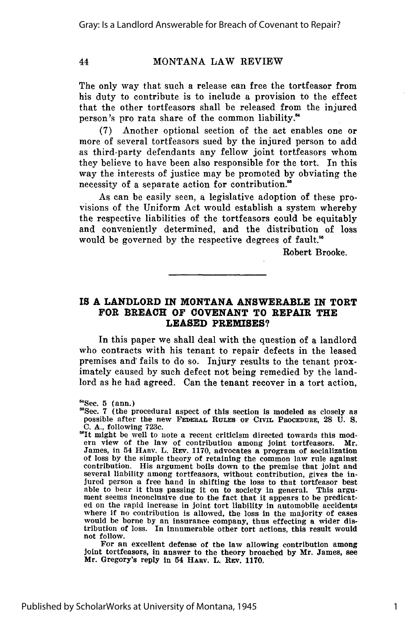#### **MONTANA** LAW REVIEW

The only way that such a release can free the tortfeasor from his duty to contribute is to include a provision to the effect that the other tortfeasors shall be released from the injured person's pro rata share of the common liability.'

**(7)** Another optional section of the act enables one or more of several tortfeasors sued **by** the injured person to add as third-party defendants any fellow joint tortfeasors whom they believe to have been also responsible for the tort. In this way the interests of justice may be promoted **by** obviating the necessity of a separate action for contribution.<sup>85</sup>

As can be easily seen, a legislative adoption of these provisions of the Uniform Act would establish a system whereby the respective liabilities of the tortfeasors could be equitably and conveniently determined, and the distribution of loss would be governed **by** the respective degrees of fault."

Robert Brooke.

#### IS **A LANDLORD IN MONTANA ANSWERABLE IN TORT FOR BREACH OF COVENANT TO REPAIR THE LEASED PREMISES?**

In this paper we shall deal with the question of a landlord who contracts with his tenant to repair defects in the leased premises and: fails to do so. Injury results to the tenant proximately caused **by** such defect not being remedied **by** the landlord as he had agreed. Can the tenant recover in a tort action,

For an excellent defense of the law allowing contribution among Joint tortfeasors, in answer to the theory broached **by** Mr. James, see Mr. Gregory's reply in 54 **HARV.** L. REv. **1170.**

**Sec. 5** (ann.) **'Sec. 7** (the procedural aspect of this section is modeled as closely as possible after the new **FEDERAL RULES OF CIviL PROCEDURE, 28 U. S. C. A.,** following **723c.**

<sup>&</sup>quot;It might be well to note a recent criticism directed towards this mod-James, in 54 HARV. L. REv. **1170,** advocates a program of socialization of loss **by** the simple theory of retaining the common law rule against contribution. His argument boils down to the premise that joint and several liability among tortfeasors, without contribution, gives the injured person a free hand in shifting the loss to that tortfeasor best able to bear it thus passing it on to society in general. This argument seems inconclusive due to the fact that it appears to be predicat- ed on the rapid increase in joint tort liability in automobile accidents where **If** no contribution is allowed, the loss in the majority of cases would be borne **by** an insurance company, thus effecting a wider distribution of loss. In innumerable other tort actions, this result would not follow.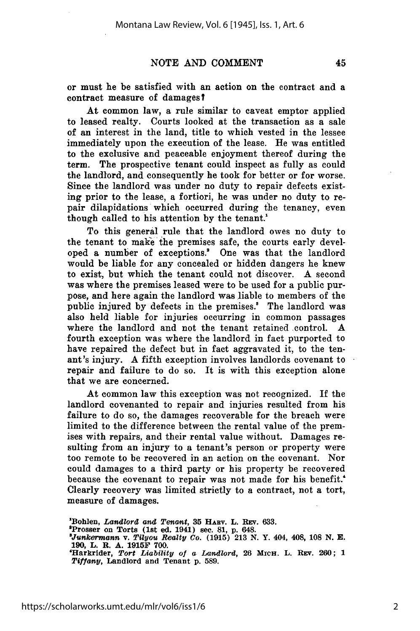or must he be satisfied with an action on the contract and a contract measure of damages?

At common law, a rule similar to caveat emptor applied to leased realty. Courts looked at the transaction as a sale of an interest in the land, title to which vested in the lessee immediately upon the execution of the lease. He was entitled to the exclusive and peaceable enjoyment thereof during the term. The prospective tenant could inspect as fully as could the landlord, and consequently he took for better or for worse. Since the landlord was under no duty to repair defects existing prior to the lease, a fortiori, he was under no duty to repair dilapidations which occurred during the tenancy, even though called to his attention **by** the tenant.'

To this general rule that the landlord owes no duty to the tenant to make the premises safe, the courts early developed a number of exceptions.' One was that the landlord would be liable for any concealed or hidden dangers he knew to exist, but which the tenant could not discover. **A** second was where the premises leased were to be used for a public purpose, and here again the landlord was liable to members of the public injured by defects in the premises.<sup>8</sup> The landlord was also held liable for injuries occurring in common passages where the landlord and not the tenant retained control. **A** fourth exception was where the landlord in fact purported to have repaired the defect but in fact aggravated it, to the tenant's injury. **A** fifth exception involves landlords covenant to repair and failure to do so. It is with this exception alone that we are concerned.

At common law this exception was not recognized. If the landlord covenanted to repair and injuries resulted from his failure to do so, the damages recoverable for the breach were limited to the difference between the rental value of the premises with repairs, and their rental value without. Damages resulting from an injury to a tenant's person or property were too remote to be recovered in an action on the covenant. Nor could damages to a third party or his property be recovered because the covenant to repair was not made for his benefit.' Clearly recovery was limited strictly to a contract, not a tort, measure of damages.

.<br>"Bohlen, *Landlord and Tenant*, 35 HARV. L. REV. 633.<br>"Prosser on Torts (1st ed. 1941) sec. 81, p. 648.<br>"Junkermann v. Tilyou Realty Co. (1915) 213 N. Y. 404, 408, 108 N. E. **190, L. R. A. 1915F 700. 'Harkrider,** *Tort Liability of a Landlord,* **26 MICH. L. REv. 260; 1** *Tiffany,* **Landlord and Tenant p. 589.**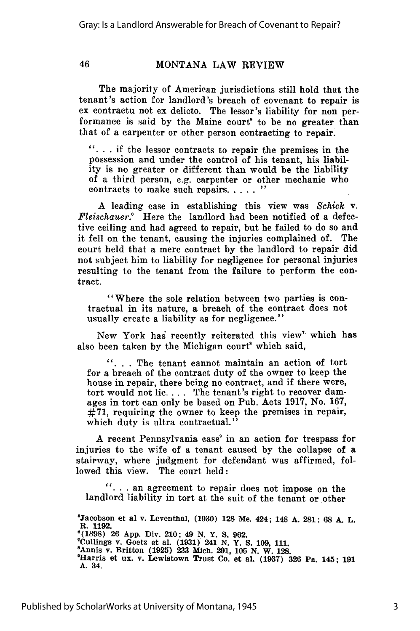#### MONTANA LAW REVIEW

The majority of American jurisdictions still hold that the tenant's action for landlord's breach of covenant to repair is ex contractu not ex delicto. The lessor's liability for non performance is said by the Maine court<sup>5</sup> to be no greater than that of a carpenter or other person contracting to repair.

**". ..** if the lessor contracts to repair the premises in the possession and under the control of his tenant, his liability is no greater or different than would be the liability of a third person, e.g. carpenter or other mechanic who contracts to make such repairs. . . . . "

A leading case in establishing this view was *Schick v. Fleischauer.'* Here the landlord had been notified of a defective ceiling and had agreed to repair, but he failed to do so and it fell on the tenant, causing the injuries complained of. The court held that a mere contract by the landlord to repair did not subject him to liability for negligence for personal injuries resulting to the tenant from the failure to perform the contract.

"Where the sole relation between two parties is contractual in its nature, a breach of the contract does not usually create a liability as for negligence."

New York has recently reiterated this view<sup>7</sup> which has also been taken by the Michigan court<sup>s</sup> which said,

**". ..** The tenant cannot maintain an action of tort for a breach of the contract duty of the owner to keep the house in repair, there being no contract, and if there were, tort would not lie **....** The tenant's right to recover damages in tort can only be based on Pub. Acts 1917, No. 167, #71, requiring the owner to keep the premises in repair, which duty is ultra contractual."

A recent Pennsylvania case' in an action for trespass for injuries to the wife of a tenant caused by the collapse of a stairway, where judgment for defendant was affirmed, followed this view. The court held:

**...** an agreement to repair does not impose on the landlord liability in tort at the suit of the tenant or other

<sup>5</sup>Jacobson et al v. Leventhal, (1930) 128 Me. 424; 148 A. 281; 68 A. L. **R. 1192. '(1898) 26 App.** Div. 210; 49 **N. Y. S. 962.** (1536) 20 App. Div. 210; 49 N. 1. 8. 902.<br>
"Cullings v. Goetz et al. (1931) 241 N. Y. S. 109, 111.<br>
"Annis v. Britton (1925) 233 Mich. 291, 105 N. W. 128.<br>
"Harris et ux. v. Lewistown Trust Co. et al. (1937) 326 Pa. 145: **A. 34.**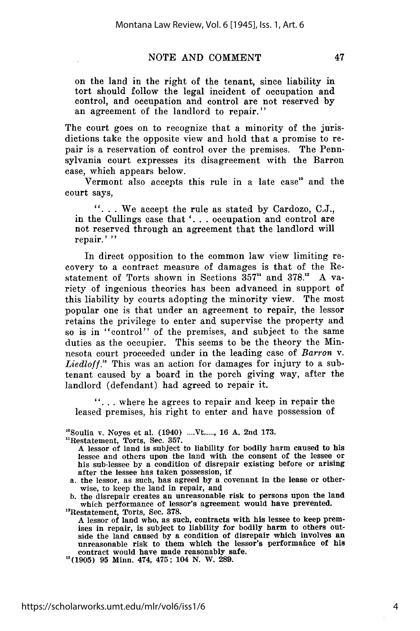on the land in the right of the tenant, since liability in tort should follow the legal incident of occupation and control, and occupation and control are not reserved by an agreement of the landlord to repair."

The court goes on to recognize that a minority of the jurisdictions take the opposite view and hold that a promise to repair is a reservation of control over the premises. The Pennsylvania court expresses its disagreement with the Barron case, which appears below.

Vermont also accepts this rule in a late case" and the court says,

**it \*'We** accept the rule as stated by Cardozo, C.J., in the Cullings case that **'. .** . occupation and control are not reserved through an agreement that the landlord will repair.' **"**

In direct opposition to the common law view limiting recovery to a contract measure of damages is that of the Restatement of Torts shown in Sections 357" and 378." A variety of ingenious theories has been advanced in support of this liability by courts adopting the minority view. The most popular one is that under an agreement to repair, the lessor retains the privilege to enter and supervise the property and so is in "control" of the premises, and subject to the same duties as the occupier. This seems to be the theory the Minnesota court proceeded under in the leading case of *Barron* v. *Liedloff."* This was an action for damages for injury to a subtenant caused by a board in the porch giving way, after the landlord (defendant) had agreed to repair it.

**it** \*\*where he agrees to repair and keep in repair the leased premises, his right to enter and have possession of

"\*Soulia v. Noyes et **al.** (1940) .... **Vt.....,** 16 **A.** 2nd **173.**

"Restatement, Torts, Sec. 357. A lessor of land is subject to liability for bodily harm caused to his lessee and others upon the land with the consent of the lessee or his sub-lessee by a condition of disrepair existing before or arising

a. the lessor, as such, has agreed by a covenant in the lease or otherwise, to keep the land in repair, and

b. the disrepair creates an unreasonable risk to persons upon the land which performance of lessor's agreement would have prevented.

"Restatement, Torts, Sec. 378.

A lessor of land who, as such, contracts with his lessee to keep premises in repair, is subject to liability for bodily harm to others outside the land caused by a condition of disrepair which involves an unreasonable risk to them which the lessor's performafice of his contract would have made reasonably safe.

"(1905) **95** Minn. 474, 475; 104 N. W. 289.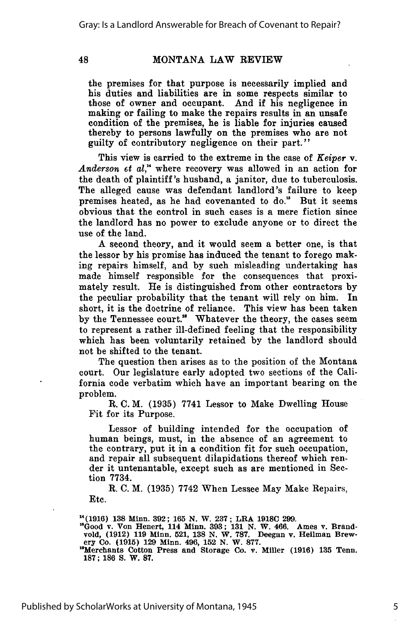#### MONTANA LAW REVIEW

the premises for that purpose is necessarily implied and his duties and liabilities are in some respects similar to those of owner and occupant. And if his negligence in making or failing to make the repairs results in an unsafe condition of the premises, he is liable for injuries caused thereby to persons lawfully on the premises who are not guilty of contributory negligence on their part."

This view is carried to the extreme in the case of *Keiper* **v.** Anderson *et al*," where recovery was allowed in an action for the death of plaintiff's husband, a janitor, due to tuberculosis. The alleged cause was defendant landlord's failure to keep premises heated, as he had covenanted to do." But it seems obvious that the control in such cases is a mere fiction since the landlord has no power to exclude anyone or to direct the use of the land.

A second theory, and it would seem a better one, is that the lessor by his promise has induced the tenant to forego making repairs himself, and by such misleading undertaking has made himself responsible for the consequences that proximately result. He is distinguished from other contractors by the peculiar probability that the tenant will rely on him. In short, it is the doctrine of reliance. This view has been taken by the Tennessee court." Whatever the theory, the cases seem to represent a rather ill-defined feeling that the responsibility which has been voluntarily retained by the landlord should not be shifted to the tenant.

The question then arises as to the position of the Montana court. Our legislature early adopted two sections of the California code verbatim which have an important bearing on the problem.

R. C. M. (1935) 7741 Lessor to Make Dwelling House **Fit** for its Purpose.

Lessor of building intended for the occupation of human beings, must, in the absence of an agreement to the contrary, put it in a condition fit for such occupation, and repair all subsequent dilapidations thereof which render it untenantable, except such as are mentioned in Section 7734.

R. C. M. (1935) 7742 When Lessee May Make Repairs, Etc.

**14(1916) 138 Minn. 392; 165 N.** W. **237; LRA 1918C 299.**

 $^{18}$ Good v. Von Henert, 114 Minn. 393; 131 N. W. 466. Ames v. Brandvold, (1912) 119 Minn. 521, 138 N. W. 787. Deegan v. Heilman Brew-<br>ery Co. (1915) 129 Minn. 496, 152 N. W. 877.<br>"Merchants Cotton Press and Storage Co.

**187; 186 S. W. 87.**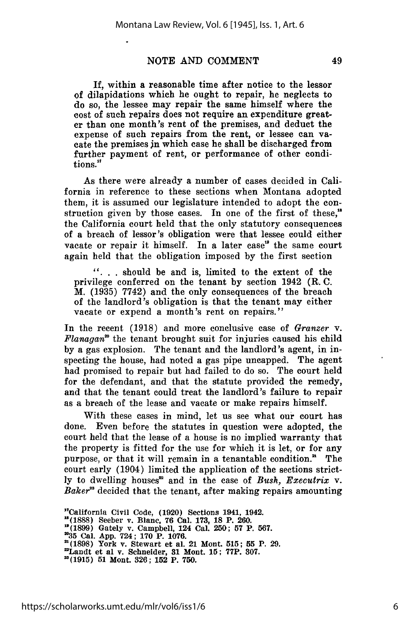**If,** within a reasonable time after notice to the lessor of dilapidations which he ought to repair, he neglects to do so, the lessee may repair the same himself where the cost of such repairs does not require an expenditure greater than one month's rent of the premises, and deduct the expense of such repairs from the rent, or lessee can vacate the premises jn which case he shall be discharged from further payment of rent, or performance of other conditions.<sup>17</sup>

As there were already a number of cases decided in California in reference to these sections when Montana adopted them, it is assumed our legislature intended to adopt the construction given by those cases. In one of the first of these," the California court held that the only statutory consequences of a breach of lessor's obligation were that lessee could either vacate or repair it himself. In a later case" the same court again held that the obligation imposed by the first section

*...* should be and is, limited to the extent of the privilege conferred on the tenant by section 1942 (R. C. M. (1935) 7742) and the only consequences of the breach of the landlord's obligation is that the tenant may either vacate or expend a month's rent on repairs."

In the recent (1918) and more conclusive case of *Granzer* v. *Flanagan*<sup>20</sup> the tenant brought suit for injuries caused his child by a gas explosion. The tenant and the landlord's agent, in inspecting the house, had noted a gas pipe uncapped. The agent had promised to repair but had failed to do so. The court held for the defendant, and that the statute provided the remedy, and that the tenant could treat the landlord's failure to repair as a breach of the lease and vacate or make repairs himself.

With these cases in mind, let us see what our court has done. Even before the statutes in question were adopted, the court held that the lease of a house is no implied warranty that the property is fitted for the use for which it is let, or for any purpose, or that it will remain in a tenantable condition." The court early (1904) limited the application of the sections strictly to dwelling houses<sup>22</sup> and in the case of *Bush, Executrix v. Baker"* decided that the tenant, after making repairs amounting

**"California Civil Code, (1920)** Sections **1941, 1942. "(1888) Seeber v. Blanc, 76 Cal. 173, 18 P. 260. "(1899) Gately v. Campbell, 124 Cal. 250; 57 P. 567. "35 Cal. App. 724; 170 P. 1076. 2(1898) York v. Stewart et al. 21 Mont. 515; 55 P. 29. "Landt et al v. Schneider, 31 Mont. 15; 77P. 307. "(1915) 51 Mont. 326; 152 P. 750.**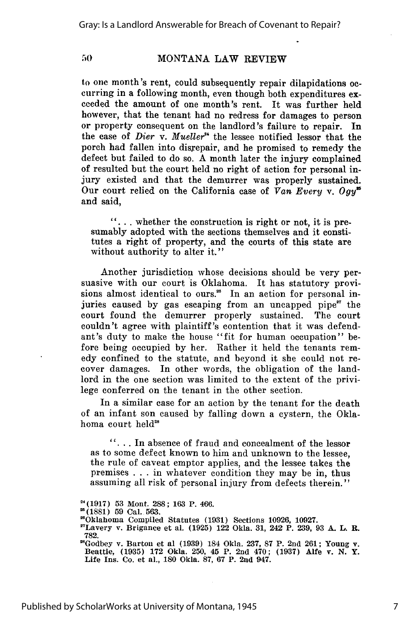#### **MONTANA** LAW REVIEW

to one month's rent, could subsequently repair dilapidations occurring in a following month, even though both expenditures exceeded the amount of one month's rent. It was further held however, that the tenant had no redress for damages to person or property consequent on the landlord's failure to repair. In the case of *Dier* v. *Mueller"* the lessee notified lessor that the porch had fallen into disrepair, and he promised to remedy the defect but failed to do so. A month later the injury complained of resulted but the court held no right of action for personal injury existed and that the demurrer was properly sustained. Our court relied on the California case of *Van Every v. Ogy*<sup>55</sup> and said,

*it...* whether the construction is right or not, it is presumably adopted with the sections themselves and it constitutes a right of property, and the courts of this state are without authority to alter it."

Another jurisdiction whose decisions should be very persuasive with our court is Oklahoma. It has statutory provisions almost identical to ours.<sup>28</sup> In an action for personal injuries caused by gas escaping from an uncapped pipe" the court found the demurrer properly sustained. The court couldn't agree with plaintiff's contention that it was defendant's duty to make the house "fit for human occupation" before being occupied by her. Rather it held the tenants remedy confined to the statute, and beyond it she could not recover damages. In other words, the obligation of the landlord in the one section was limited to the extent of the privilege conferred on the tenant in the other section.

In a similar case for an action by the tenant for the death of an infant son caused by falling down a cystern, the Oklahoma court held'

**\*...** In absence of fraud and concealment of the lessor as to some defect known to him and unknown to the lessee, the rule of caveat emptor applies, and the lessee takes the premises . . . in whatever condition they may be in, thus assuming all risk of personal injury from defects therein."

**<sup>&</sup>quot;(1917) 53** Mont. **288; 163** P. 466.

**<sup>(1881) 59</sup>** Cal. **563.**

<sup>&</sup>quot;Oklahoma Compiled Statutes **(1931)** Sections **10926, 10927.**

<sup>&#</sup>x27;Lavery v. Brigance et al. **(1925)** 122 Okla. **31, 242** P. **239, 93 A.** L. R. 782.<br><sup>28</sup>Godbey v. Barton et al (1939) 184 Okla. 237, 87 P. 2nd 261; Young v.

<sup>&</sup>quot;Godbey v. Barton et al **(1939)** 184 Okla. **237, 87** P. 2nd **261;** Young v. Beattie, **(1935) 172** Okla. **250,** 45 P. 2nd 470; **(1937)** Alfe v. **N.** Y. Life Ins. Co. et al., **180** Okla. **87, 67** P. **2nd** 947.